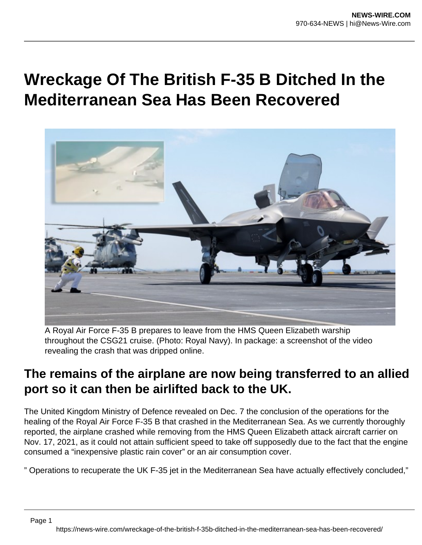## **Wreckage Of The British F-35 B Ditched In the Mediterranean Sea Has Been Recovered**



A Royal Air Force F-35 B prepares to leave from the HMS Queen Elizabeth warship throughout the CSG21 cruise. (Photo: Royal Navy). In package: a screenshot of the video revealing the crash that was dripped online.

## **The remains of the airplane are now being transferred to an allied port so it can then be airlifted back to the UK.**

The United Kingdom Ministry of Defence revealed on Dec. 7 the conclusion of the operations for the healing of the Royal Air Force F-35 B that crashed in the Mediterranean Sea. As we currently thoroughly reported, the airplane crashed while removing from the HMS Queen Elizabeth attack aircraft carrier on Nov. 17, 2021, as it could not attain sufficient speed to take off supposedly due to the fact that the engine consumed a "inexpensive plastic rain cover" or an air consumption cover.

" Operations to recuperate the UK F-35 jet in the Mediterranean Sea have actually effectively concluded,"

Page 1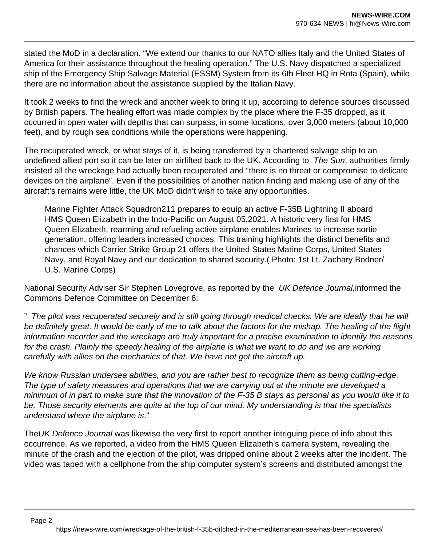stated the MoD in a declaration. "We extend our thanks to our NATO allies Italy and the United States of America for their assistance throughout the healing operation." The U.S. Navy dispatched a specialized ship of the Emergency Ship Salvage Material (ESSM) System from its 6th Fleet HQ in Rota (Spain), while there are no information about the assistance supplied by the Italian Navy.

It took 2 weeks to find the wreck and another week to bring it up, according to defence sources discussed by British papers. The healing effort was made complex by the place where the F-35 dropped, as it occurred in open water with depths that can surpass, in some locations, over 3,000 meters (about 10,000 feet), and by rough sea conditions while the operations were happening.

The recuperated wreck, or what stays of it, is being transferred by a chartered salvage ship to an undefined allied port so it can be later on airlifted back to the UK. According to The Sun, authorities firmly insisted all the wreckage had actually been recuperated and "there is no threat or compromise to delicate devices on the airplane". Even if the possibilities of another nation finding and making use of any of the aircraft's remains were little, the UK MoD didn't wish to take any opportunities.

Marine Fighter Attack Squadron211 prepares to equip an active F-35B Lightning II aboard HMS Queen Elizabeth in the Indo-Pacific on August 05,2021. A historic very first for HMS Queen Elizabeth, rearming and refueling active airplane enables Marines to increase sortie generation, offering leaders increased choices. This training highlights the distinct benefits and chances which Carrier Strike Group 21 offers the United States Marine Corps, United States Navy, and Royal Navy and our dedication to shared security.( Photo: 1st Lt. Zachary Bodner/ U.S. Marine Corps)

National Security Adviser Sir Stephen Lovegrove, as reported by the UK Defence Journal, informed the Commons Defence Committee on December 6:

" The pilot was recuperated securely and is still going through medical checks. We are ideally that he will be definitely great. It would be early of me to talk about the factors for the mishap. The healing of the flight information recorder and the wreckage are truly important for a precise examination to identify the reasons for the crash. Plainly the speedy healing of the airplane is what we want to do and we are working carefully with allies on the mechanics of that. We have not got the aircraft up.

We know Russian undersea abilities, and you are rather best to recognize them as being cutting-edge. The type of safety measures and operations that we are carrying out at the minute are developed a minimum of in part to make sure that the innovation of the F-35 B stays as personal as you would like it to be. Those security elements are quite at the top of our mind. My understanding is that the specialists understand where the airplane is."

TheUK Defence Journal was likewise the very first to report another intriguing piece of info about this occurrence. As we reported, a video from the HMS Queen Elizabeth's camera system, revealing the minute of the crash and the ejection of the pilot, was dripped online about 2 weeks after the incident. The video was taped with a cellphone from the ship computer system's screens and distributed amongst the